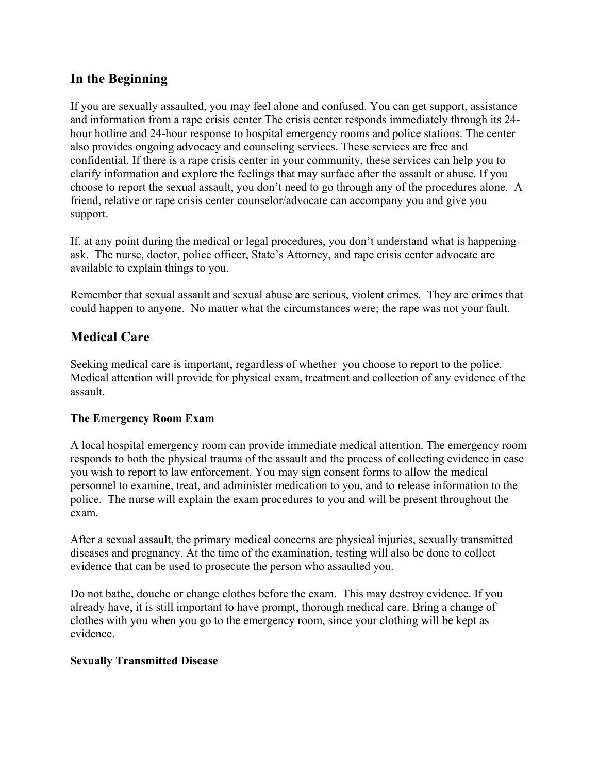# **In the Beginning**

If you are sexually assaulted, you may feel alone and confused. You can get support, assistance and information from a rape crisis center The crisis center responds immediately through its 24 hour hotline and 24-hour response to hospital emergency rooms and police stations. The center also provides ongoing advocacy and counseling services. These services are free and confidential. If there is a rape crisis center in your community, these services can help you to clarify information and explore the feelings that may surface after the assault or abuse. If you choose to report the sexual assault, you don't need to go through any of the procedures alone. A friend, relative or rape crisis center counselor/advocate can accompany you and give you support.

If, at any point during the medical or legal procedures, you don't understand what is happening – ask. The nurse, doctor, police officer, State's Attorney, and rape crisis center advocate are available to explain things to you.

Remember that sexual assault and sexual abuse are serious, violent crimes. They are crimes that could happen to anyone. No matter what the circumstances were; the rape was not your fault.

# **Medical Care**

Seeking medical care is important, regardless of whether you choose to report to the police. Medical attention will provide for physical exam, treatment and collection of any evidence of the assault.

### **The Emergency Room Exam**

A local hospital emergency room can provide immediate medical attention. The emergency room responds to both the physical trauma of the assault and the process of collecting evidence in case you wish to report to law enforcement. You may sign consent forms to allow the medical personnel to examine, treat, and administer medication to you, and to release information to the police. The nurse will explain the exam procedures to you and will be present throughout the exam.

After a sexual assault, the primary medical concerns are physical injuries, sexually transmitted diseases and pregnancy. At the time of the examination, testing will also be done to collect evidence that can be used to prosecute the person who assaulted you.

Do not bathe, douche or change clothes before the exam. This may destroy evidence. If you already have, it is still important to have prompt, thorough medical care. Bring a change of clothes with you when you go to the emergency room, since your clothing will be kept as evidence.

#### **Sexually Transmitted Disease**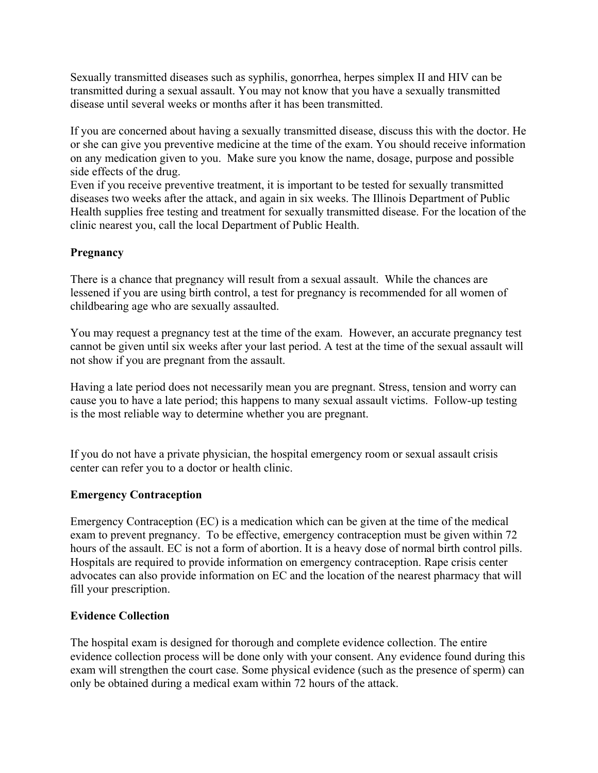Sexually transmitted diseases such as syphilis, gonorrhea, herpes simplex II and HIV can be transmitted during a sexual assault. You may not know that you have a sexually transmitted disease until several weeks or months after it has been transmitted.

If you are concerned about having a sexually transmitted disease, discuss this with the doctor. He or she can give you preventive medicine at the time of the exam. You should receive information on any medication given to you. Make sure you know the name, dosage, purpose and possible side effects of the drug.

Even if you receive preventive treatment, it is important to be tested for sexually transmitted diseases two weeks after the attack, and again in six weeks. The Illinois Department of Public Health supplies free testing and treatment for sexually transmitted disease. For the location of the clinic nearest you, call the local Department of Public Health.

# **Pregnancy**

There is a chance that pregnancy will result from a sexual assault. While the chances are lessened if you are using birth control, a test for pregnancy is recommended for all women of childbearing age who are sexually assaulted.

You may request a pregnancy test at the time of the exam. However, an accurate pregnancy test cannot be given until six weeks after your last period. A test at the time of the sexual assault will not show if you are pregnant from the assault.

Having a late period does not necessarily mean you are pregnant. Stress, tension and worry can cause you to have a late period; this happens to many sexual assault victims. Follow-up testing is the most reliable way to determine whether you are pregnant.

If you do not have a private physician, the hospital emergency room or sexual assault crisis center can refer you to a doctor or health clinic.

### **Emergency Contraception**

Emergency Contraception (EC) is a medication which can be given at the time of the medical exam to prevent pregnancy. To be effective, emergency contraception must be given within 72 hours of the assault. EC is not a form of abortion. It is a heavy dose of normal birth control pills. Hospitals are required to provide information on emergency contraception. Rape crisis center advocates can also provide information on EC and the location of the nearest pharmacy that will fill your prescription.

### **Evidence Collection**

The hospital exam is designed for thorough and complete evidence collection. The entire evidence collection process will be done only with your consent. Any evidence found during this exam will strengthen the court case. Some physical evidence (such as the presence of sperm) can only be obtained during a medical exam within 72 hours of the attack.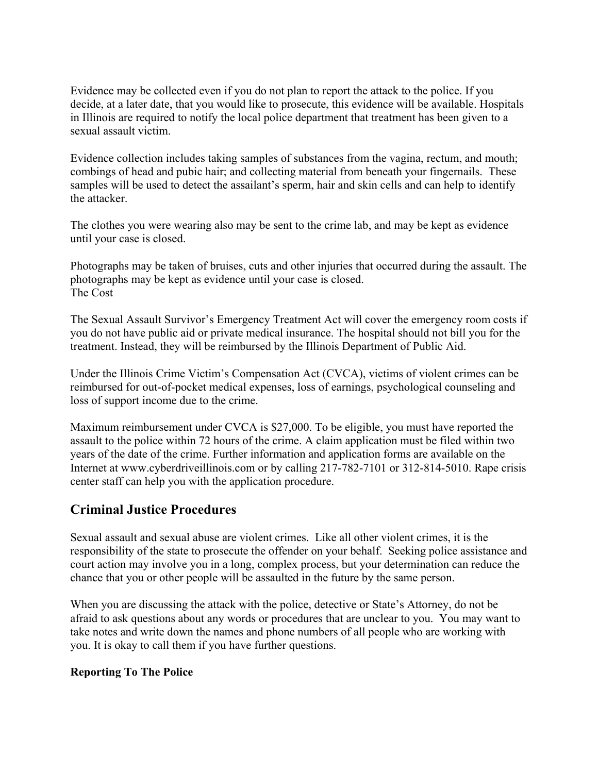Evidence may be collected even if you do not plan to report the attack to the police. If you decide, at a later date, that you would like to prosecute, this evidence will be available. Hospitals in Illinois are required to notify the local police department that treatment has been given to a sexual assault victim.

Evidence collection includes taking samples of substances from the vagina, rectum, and mouth; combings of head and pubic hair; and collecting material from beneath your fingernails. These samples will be used to detect the assailant's sperm, hair and skin cells and can help to identify the attacker.

The clothes you were wearing also may be sent to the crime lab, and may be kept as evidence until your case is closed.

Photographs may be taken of bruises, cuts and other injuries that occurred during the assault. The photographs may be kept as evidence until your case is closed. The Cost

The Sexual Assault Survivor's Emergency Treatment Act will cover the emergency room costs if you do not have public aid or private medical insurance. The hospital should not bill you for the treatment. Instead, they will be reimbursed by the Illinois Department of Public Aid.

Under the Illinois Crime Victim's Compensation Act (CVCA), victims of violent crimes can be reimbursed for out-of-pocket medical expenses, loss of earnings, psychological counseling and loss of support income due to the crime.

Maximum reimbursement under CVCA is \$27,000. To be eligible, you must have reported the assault to the police within 72 hours of the crime. A claim application must be filed within two years of the date of the crime. Further information and application forms are available on the Internet at www.cyberdriveillinois.com or by calling 217-782-7101 or 312-814-5010. Rape crisis center staff can help you with the application procedure.

# **Criminal Justice Procedures**

Sexual assault and sexual abuse are violent crimes. Like all other violent crimes, it is the responsibility of the state to prosecute the offender on your behalf. Seeking police assistance and court action may involve you in a long, complex process, but your determination can reduce the chance that you or other people will be assaulted in the future by the same person.

When you are discussing the attack with the police, detective or State's Attorney, do not be afraid to ask questions about any words or procedures that are unclear to you. You may want to take notes and write down the names and phone numbers of all people who are working with you. It is okay to call them if you have further questions.

### **Reporting To The Police**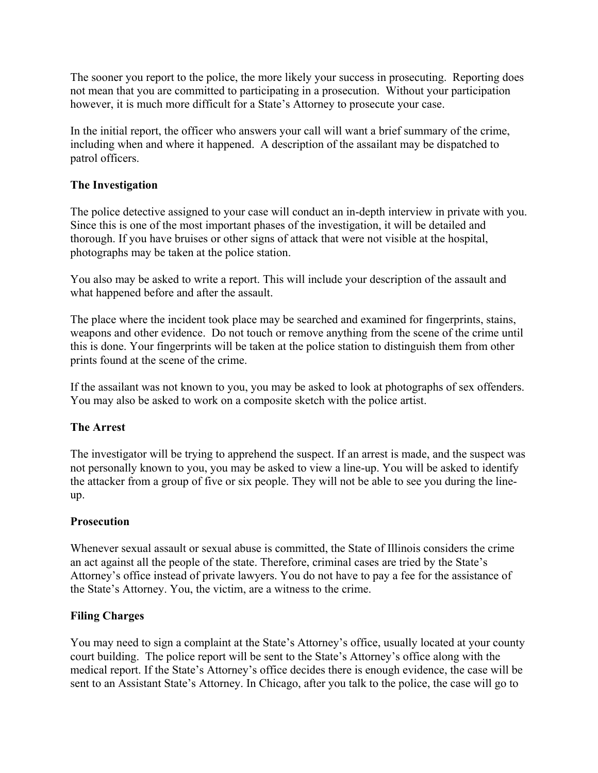The sooner you report to the police, the more likely your success in prosecuting. Reporting does not mean that you are committed to participating in a prosecution. Without your participation however, it is much more difficult for a State's Attorney to prosecute your case.

In the initial report, the officer who answers your call will want a brief summary of the crime, including when and where it happened. A description of the assailant may be dispatched to patrol officers.

### **The Investigation**

The police detective assigned to your case will conduct an in-depth interview in private with you. Since this is one of the most important phases of the investigation, it will be detailed and thorough. If you have bruises or other signs of attack that were not visible at the hospital, photographs may be taken at the police station.

You also may be asked to write a report. This will include your description of the assault and what happened before and after the assault.

The place where the incident took place may be searched and examined for fingerprints, stains, weapons and other evidence. Do not touch or remove anything from the scene of the crime until this is done. Your fingerprints will be taken at the police station to distinguish them from other prints found at the scene of the crime.

If the assailant was not known to you, you may be asked to look at photographs of sex offenders. You may also be asked to work on a composite sketch with the police artist.

### **The Arrest**

The investigator will be trying to apprehend the suspect. If an arrest is made, and the suspect was not personally known to you, you may be asked to view a line-up. You will be asked to identify the attacker from a group of five or six people. They will not be able to see you during the lineup.

### **Prosecution**

Whenever sexual assault or sexual abuse is committed, the State of Illinois considers the crime an act against all the people of the state. Therefore, criminal cases are tried by the State's Attorney's office instead of private lawyers. You do not have to pay a fee for the assistance of the State's Attorney. You, the victim, are a witness to the crime.

### **Filing Charges**

You may need to sign a complaint at the State's Attorney's office, usually located at your county court building. The police report will be sent to the State's Attorney's office along with the medical report. If the State's Attorney's office decides there is enough evidence, the case will be sent to an Assistant State's Attorney. In Chicago, after you talk to the police, the case will go to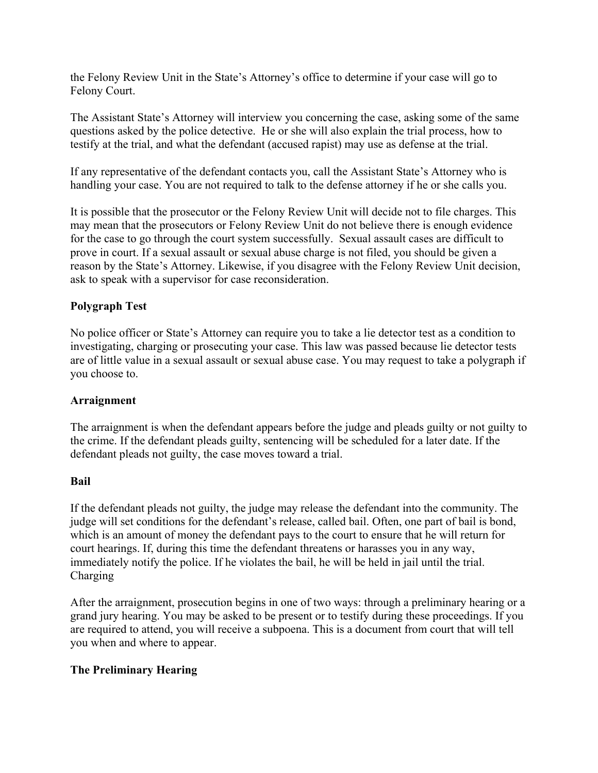the Felony Review Unit in the State's Attorney's office to determine if your case will go to Felony Court.

The Assistant State's Attorney will interview you concerning the case, asking some of the same questions asked by the police detective. He or she will also explain the trial process, how to testify at the trial, and what the defendant (accused rapist) may use as defense at the trial.

If any representative of the defendant contacts you, call the Assistant State's Attorney who is handling your case. You are not required to talk to the defense attorney if he or she calls you.

It is possible that the prosecutor or the Felony Review Unit will decide not to file charges. This may mean that the prosecutors or Felony Review Unit do not believe there is enough evidence for the case to go through the court system successfully. Sexual assault cases are difficult to prove in court. If a sexual assault or sexual abuse charge is not filed, you should be given a reason by the State's Attorney. Likewise, if you disagree with the Felony Review Unit decision, ask to speak with a supervisor for case reconsideration.

# **Polygraph Test**

No police officer or State's Attorney can require you to take a lie detector test as a condition to investigating, charging or prosecuting your case. This law was passed because lie detector tests are of little value in a sexual assault or sexual abuse case. You may request to take a polygraph if you choose to.

### **Arraignment**

The arraignment is when the defendant appears before the judge and pleads guilty or not guilty to the crime. If the defendant pleads guilty, sentencing will be scheduled for a later date. If the defendant pleads not guilty, the case moves toward a trial.

#### **Bail**

If the defendant pleads not guilty, the judge may release the defendant into the community. The judge will set conditions for the defendant's release, called bail. Often, one part of bail is bond, which is an amount of money the defendant pays to the court to ensure that he will return for court hearings. If, during this time the defendant threatens or harasses you in any way, immediately notify the police. If he violates the bail, he will be held in jail until the trial. Charging

After the arraignment, prosecution begins in one of two ways: through a preliminary hearing or a grand jury hearing. You may be asked to be present or to testify during these proceedings. If you are required to attend, you will receive a subpoena. This is a document from court that will tell you when and where to appear.

### **The Preliminary Hearing**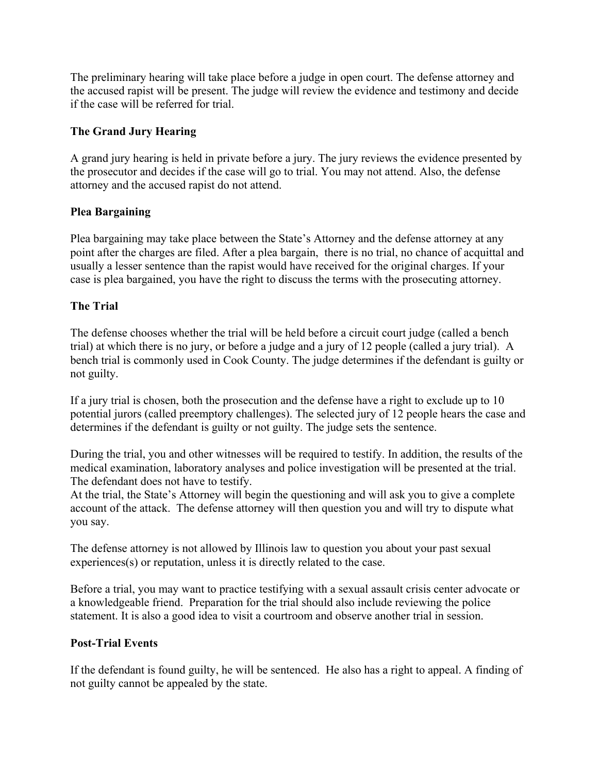The preliminary hearing will take place before a judge in open court. The defense attorney and the accused rapist will be present. The judge will review the evidence and testimony and decide if the case will be referred for trial.

# **The Grand Jury Hearing**

A grand jury hearing is held in private before a jury. The jury reviews the evidence presented by the prosecutor and decides if the case will go to trial. You may not attend. Also, the defense attorney and the accused rapist do not attend.

# **Plea Bargaining**

Plea bargaining may take place between the State's Attorney and the defense attorney at any point after the charges are filed. After a plea bargain, there is no trial, no chance of acquittal and usually a lesser sentence than the rapist would have received for the original charges. If your case is plea bargained, you have the right to discuss the terms with the prosecuting attorney.

# **The Trial**

The defense chooses whether the trial will be held before a circuit court judge (called a bench trial) at which there is no jury, or before a judge and a jury of 12 people (called a jury trial). A bench trial is commonly used in Cook County. The judge determines if the defendant is guilty or not guilty.

If a jury trial is chosen, both the prosecution and the defense have a right to exclude up to 10 potential jurors (called preemptory challenges). The selected jury of 12 people hears the case and determines if the defendant is guilty or not guilty. The judge sets the sentence.

During the trial, you and other witnesses will be required to testify. In addition, the results of the medical examination, laboratory analyses and police investigation will be presented at the trial. The defendant does not have to testify.

At the trial, the State's Attorney will begin the questioning and will ask you to give a complete account of the attack. The defense attorney will then question you and will try to dispute what you say.

The defense attorney is not allowed by Illinois law to question you about your past sexual experiences(s) or reputation, unless it is directly related to the case.

Before a trial, you may want to practice testifying with a sexual assault crisis center advocate or a knowledgeable friend. Preparation for the trial should also include reviewing the police statement. It is also a good idea to visit a courtroom and observe another trial in session.

### **Post-Trial Events**

If the defendant is found guilty, he will be sentenced. He also has a right to appeal. A finding of not guilty cannot be appealed by the state.